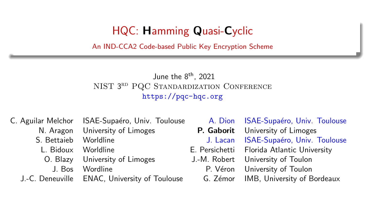## HQC: Hamming Quasi-Cyclic

<span id="page-0-0"></span>An IND-CCA2 Code-based Public Key Encryption Scheme

#### June the 8th, 2021 NIST 3RD PQC STANDARDIZATION CONFERENCE <https://pqc-hqc.org>

- N. Aragon University of Limoges **P. Gaborit** University of Limoges
- -
	- O. Blazy University of Limoges J.-M. Robert University of Toulon
		-

J.-C. Deneuville ENAC, University of Toulouse G. Z´emor IMB, University of Bordeaux

C. Aguilar Melchor ISAE-Supaéro, Univ. Toulouse A. Dion ISAE-Supaéro, Univ. Toulouse S. Bettaieb Worldline **J. Lacan ISAE-Supaéro, Univ. Toulouse** L. Bidoux Worldline E. Persichetti Florida Atlantic University J. Bos Wordline **P. V**éron University of Toulon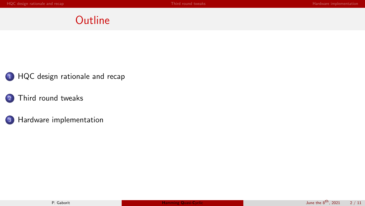## **Outline**

- 1 HQC design [rationale](#page-2-0) and recap
- 2 Third round [tweaks](#page-4-0)
- 3 Hardware [implementation](#page-6-0)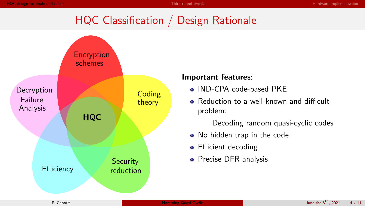# HQC Classification / Design Rationale

<span id="page-2-0"></span>

#### Important features:

- IND-CPA code-based PKE
- Reduction to a well-known and difficult problem:

Decoding random quasi-cyclic codes

- No hidden trap in the code
- **•** Efficient decoding
- **•** Precise DFR analysis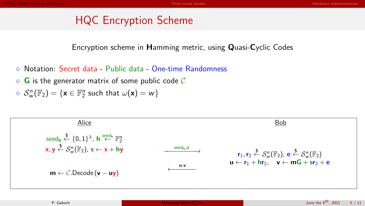## HQC Encryption Scheme

Encryption scheme in Hamming metric, using Quasi-Cyclic Codes

- Notation: Secret data Public data One-time Randomness
- $\Diamond$  G is the generator matrix of some public code C

$$
\mathrel{\diamond} \hspace{0.25em} \mathcal{S}_{w}^{n}(\mathbb{F}_{2}) = \{ \mathbf{x} \in \mathbb{F}_{2}^{n} \hspace{0.1cm} \text{such that} \hspace{0.1cm} \omega(\mathbf{x}) = w \}
$$

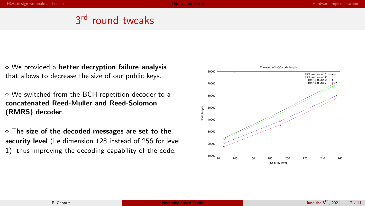## 3<sup>rd</sup> round tweaks

<span id="page-4-0"></span> $\diamond$  We provided a better decryption failure analysis that allows to decrease the size of our public keys.

 We switched from the BCH-repetition decoder to a concatenated Reed-Muller and Reed-Solomon (RMRS) decoder.

 $\diamond$  The size of the decoded messages are set to the security level (i.e dimension 128 instead of 256 for level 1), thus improving the decoding capability of the code.

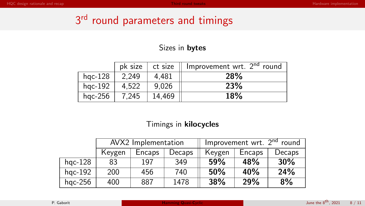# 3<sup>rd</sup> round parameters and timings

#### Sizes in bytes

|            | pk size | ct size | Improvement wrt. 2 <sup>nd</sup> round |
|------------|---------|---------|----------------------------------------|
| $hpc-128$  | 2.249   | 4.481   | <b>28%</b>                             |
| $hpc-192$  | 4.522   | 9.026   | <b>23%</b>                             |
| hgc- $256$ | 7.245   | 14.469  | <b>18%</b>                             |

#### Timings in kilocycles

|           | AVX2 Implementation |        |        | Improvement wrt. 2 <sup>nd</sup> round |        |        |  |
|-----------|---------------------|--------|--------|----------------------------------------|--------|--------|--|
|           | Keygen              | Encaps | Decaps | Keygen                                 | Encaps | Decaps |  |
| $hpc-128$ | 83                  | 197    | 349    | <b>59%</b>                             | 48%    | 30%    |  |
| $hqc-192$ | 200                 | 456    | 740    | 50%                                    | 40%    | 24%    |  |
| $hqc-256$ | 400                 | 887    | 1478   | 38%                                    | 29%    | 8%     |  |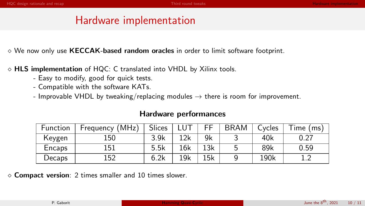## Hardware implementation

<span id="page-6-0"></span> $\diamond$  We now only use KECCAK-based random oracles in order to limit software footprint.

- $\diamond$  HLS implementation of HQC: C translated into VHDL by Xilinx tools.
	- Easy to modify, good for quick tests.
	- Compatible with the software KATs.
	- Improvable VHDL by tweaking/replacing modules  $\rightarrow$  there is room for improvement.

| Function | Frequency (MHz) | Slices |     | FF  | <b>BRAM</b> | Cycles | Time (ms) |
|----------|-----------------|--------|-----|-----|-------------|--------|-----------|
| Keygen   | 150             | 3.9k   | 12k | 9k  |             | 40k    | 0.27      |
| Encaps   | 151             | 5.5k   | 16k | 13k |             | 89k    | 0.59      |
| Decaps   | 152             | 6.2k   | 19k | 15k |             | 190k   |           |

 $\diamond$  Compact version: 2 times smaller and 10 times slower.